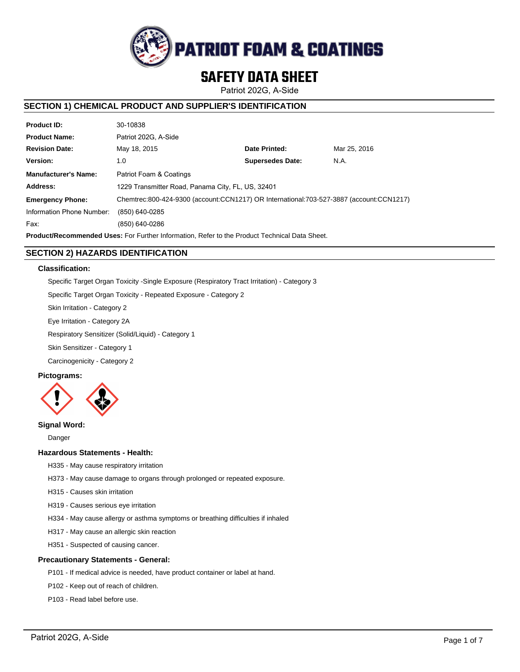

# **SAFETY DATA SHEET**

Patriot 202G, A-Side

# **SECTION 1) CHEMICAL PRODUCT AND SUPPLIER'S IDENTIFICATION**

| <b>Product ID:</b>          | 30-10838                                                                                |                         |              |  |  |
|-----------------------------|-----------------------------------------------------------------------------------------|-------------------------|--------------|--|--|
| <b>Product Name:</b>        | Patriot 202G, A-Side                                                                    |                         |              |  |  |
| <b>Revision Date:</b>       | May 18, 2015                                                                            | Date Printed:           | Mar 25, 2016 |  |  |
| Version:                    | 1.0                                                                                     | <b>Supersedes Date:</b> | N.A.         |  |  |
| <b>Manufacturer's Name:</b> | Patriot Foam & Coatings                                                                 |                         |              |  |  |
| Address:                    | 1229 Transmitter Road, Panama City, FL, US, 32401                                       |                         |              |  |  |
| <b>Emergency Phone:</b>     | Chemtrec:800-424-9300 (account:CCN1217) OR International:703-527-3887 (account:CCN1217) |                         |              |  |  |
| Information Phone Number:   | (850) 640-0285                                                                          |                         |              |  |  |
| Fax:                        | (850) 640-0286                                                                          |                         |              |  |  |
|                             |                                                                                         |                         |              |  |  |

**Product/Recommended Uses:** For Further Information, Refer to the Product Technical Data Sheet.

# **SECTION 2) HAZARDS IDENTIFICATION**

# **Classification:**

Specific Target Organ Toxicity -Single Exposure (Respiratory Tract Irritation) - Category 3

Specific Target Organ Toxicity - Repeated Exposure - Category 2

Skin Irritation - Category 2

Eye Irritation - Category 2A

Respiratory Sensitizer (Solid/Liquid) - Category 1

Skin Sensitizer - Category 1

Carcinogenicity - Category 2

# **Pictograms:**



# **Signal Word:**

Danger

# **Hazardous Statements - Health:**

- H335 May cause respiratory irritation
- H373 May cause damage to organs through prolonged or repeated exposure.
- H315 Causes skin irritation
- H319 Causes serious eye irritation
- H334 May cause allergy or asthma symptoms or breathing difficulties if inhaled
- H317 May cause an allergic skin reaction
- H351 Suspected of causing cancer.

### **Precautionary Statements - General:**

- P101 If medical advice is needed, have product container or label at hand.
- P102 Keep out of reach of children.
- P103 Read label before use.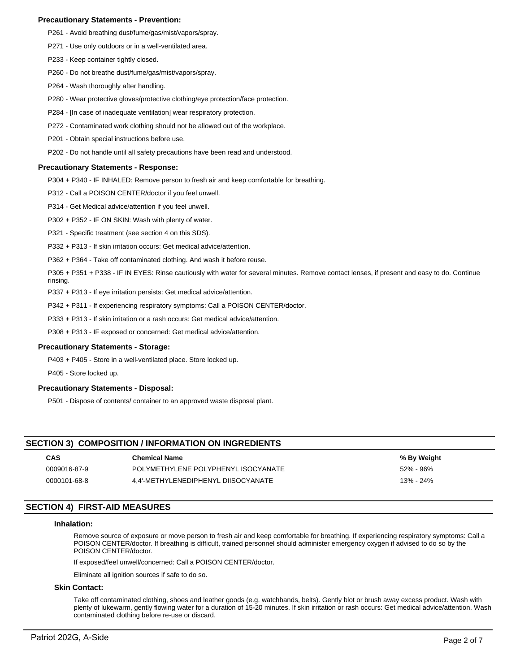### **Precautionary Statements - Prevention:**

- P261 Avoid breathing dust/fume/gas/mist/vapors/spray.
- P271 Use only outdoors or in a well-ventilated area.
- P233 Keep container tightly closed.
- P260 Do not breathe dust/fume/gas/mist/vapors/spray.
- P264 Wash thoroughly after handling.
- P280 Wear protective gloves/protective clothing/eye protection/face protection.
- P284 [In case of inadequate ventilation] wear respiratory protection.
- P272 Contaminated work clothing should not be allowed out of the workplace.
- P201 Obtain special instructions before use.
- P202 Do not handle until all safety precautions have been read and understood.

### **Precautionary Statements - Response:**

P304 + P340 - IF INHALED: Remove person to fresh air and keep comfortable for breathing.

P312 - Call a POISON CENTER/doctor if you feel unwell.

- P314 Get Medical advice/attention if you feel unwell.
- P302 + P352 IF ON SKIN: Wash with plenty of water.
- P321 Specific treatment (see section 4 on this SDS).
- P332 + P313 If skin irritation occurs: Get medical advice/attention.
- P362 + P364 Take off contaminated clothing. And wash it before reuse.
- P305 + P351 + P338 IF IN EYES: Rinse cautiously with water for several minutes. Remove contact lenses, if present and easy to do. Continue rinsing.
- P337 + P313 If eye irritation persists: Get medical advice/attention.
- P342 + P311 If experiencing respiratory symptoms: Call a POISON CENTER/doctor.
- P333 + P313 If skin irritation or a rash occurs: Get medical advice/attention.
- P308 + P313 IF exposed or concerned: Get medical advice/attention.

### **Precautionary Statements - Storage:**

P403 + P405 - Store in a well-ventilated place. Store locked up.

P405 - Store locked up.

### **Precautionary Statements - Disposal:**

P501 - Dispose of contents/ container to an approved waste disposal plant.

# **SECTION 3) COMPOSITION / INFORMATION ON INGREDIENTS**

| <b>CAS</b>   | <b>Chemical Name</b>                | % By Weight |
|--------------|-------------------------------------|-------------|
| 0009016-87-9 | POLYMETHYLENE POLYPHENYL ISOCYANATE | 52% - 96%   |
| 0000101-68-8 | 4.4'-METHYLENEDIPHENYL DIISOCYANATE | 13% - 24%   |

# **SECTION 4) FIRST-AID MEASURES**

### **Inhalation:**

Remove source of exposure or move person to fresh air and keep comfortable for breathing. If experiencing respiratory symptoms: Call a POISON CENTER/doctor. If breathing is difficult, trained personnel should administer emergency oxygen if advised to do so by the POISON CENTER/doctor.

If exposed/feel unwell/concerned: Call a POISON CENTER/doctor.

Eliminate all ignition sources if safe to do so.

### **Skin Contact:**

Take off contaminated clothing, shoes and leather goods (e.g. watchbands, belts). Gently blot or brush away excess product. Wash with plenty of lukewarm, gently flowing water for a duration of 15-20 minutes. If skin irritation or rash occurs: Get medical advice/attention. Wash contaminated clothing before re-use or discard.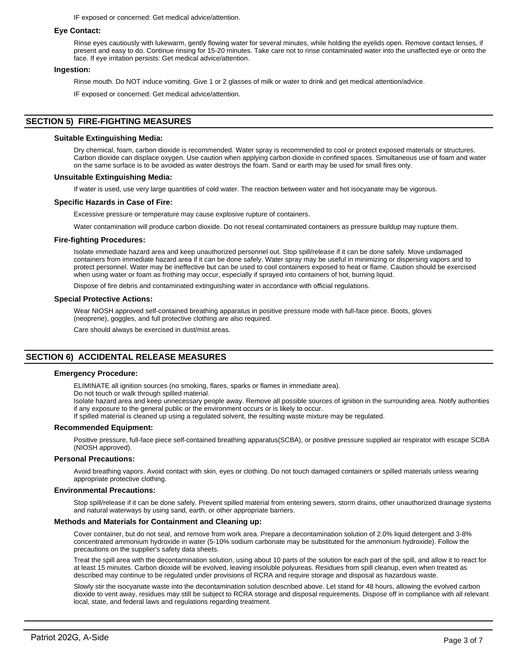IF exposed or concerned: Get medical advice/attention.

### **Eye Contact:**

Rinse eyes cautiously with lukewarm, gently flowing water for several minutes, while holding the eyelids open. Remove contact lenses, if present and easy to do. Continue rinsing for 15-20 minutes. Take care not to rinse contaminated water into the unaffected eye or onto the face. If eye irritation persists: Get medical advice/attention.

### **Ingestion:**

Rinse mouth. Do NOT induce vomiting. Give 1 or 2 glasses of milk or water to drink and get medical attention/advice.

IF exposed or concerned: Get medical advice/attention.

# **SECTION 5) FIRE-FIGHTING MEASURES**

### **Suitable Extinguishing Media:**

Dry chemical, foam, carbon dioxide is recommended. Water spray is recommended to cool or protect exposed materials or structures. Carbon dioxide can displace oxygen. Use caution when applying carbon dioxide in confined spaces. Simultaneous use of foam and water on the same surface is to be avoided as water destroys the foam. Sand or earth may be used for small fires only.

### **Unsuitable Extinguishing Media:**

If water is used, use very large quantities of cold water. The reaction between water and hot isocyanate may be vigorous.

### **Specific Hazards in Case of Fire:**

Excessive pressure or temperature may cause explosive rupture of containers.

Water contamination will produce carbon dioxide. Do not reseal contaminated containers as pressure buildup may rupture them.

### **Fire-fighting Procedures:**

Isolate immediate hazard area and keep unauthorized personnel out. Stop spill/release if it can be done safely. Move undamaged containers from immediate hazard area if it can be done safely. Water spray may be useful in minimizing or dispersing vapors and to protect personnel. Water may be ineffective but can be used to cool containers exposed to heat or flame. Caution should be exercised when using water or foam as frothing may occur, especially if sprayed into containers of hot, burning liquid.

Dispose of fire debris and contaminated extinguishing water in accordance with official regulations.

### **Special Protective Actions:**

Wear NIOSH approved self-contained breathing apparatus in positive pressure mode with full-face piece. Boots, gloves (neoprene), goggles, and full protective clothing are also required.

Care should always be exercised in dust/mist areas.

# **SECTION 6) ACCIDENTAL RELEASE MEASURES**

### **Emergency Procedure:**

ELIMINATE all ignition sources (no smoking, flares, sparks or flames in immediate area).

Do not touch or walk through spilled material.

Isolate hazard area and keep unnecessary people away. Remove all possible sources of ignition in the surrounding area. Notify authorities if any exposure to the general public or the environment occurs or is likely to occur.

If spilled material is cleaned up using a regulated solvent, the resulting waste mixture may be regulated.

### **Recommended Equipment:**

Positive pressure, full-face piece self-contained breathing apparatus(SCBA), or positive pressure supplied air respirator with escape SCBA (NIOSH approved).

### **Personal Precautions:**

Avoid breathing vapors. Avoid contact with skin, eyes or clothing. Do not touch damaged containers or spilled materials unless wearing appropriate protective clothing.

### **Environmental Precautions:**

Stop spill/release if it can be done safely. Prevent spilled material from entering sewers, storm drains, other unauthorized drainage systems and natural waterways by using sand, earth, or other appropriate barriers.

# **Methods and Materials for Containment and Cleaning up:**

Cover container, but do not seal, and remove from work area. Prepare a decontamination solution of 2.0% liquid detergent and 3-8% concentrated ammonium hydroxide in water (5-10% sodium carbonate may be substituted for the ammonium hydroxide). Follow the precautions on the supplier's safety data sheets.

Treat the spill area with the decontamination solution, using about 10 parts of the solution for each part of the spill, and allow it to react for at least 15 minutes. Carbon dioxide will be evolved, leaving insoluble polyureas. Residues from spill cleanup, even when treated as described may continue to be regulated under provisions of RCRA and require storage and disposal as hazardous waste.

Slowly stir the isocyanate waste into the decontamination solution described above. Let stand for 48 hours, allowing the evolved carbon dioxide to vent away, residues may still be subject to RCRA storage and disposal requirements. Dispose off in compliance with all relevant local, state, and federal laws and regulations regarding treatment.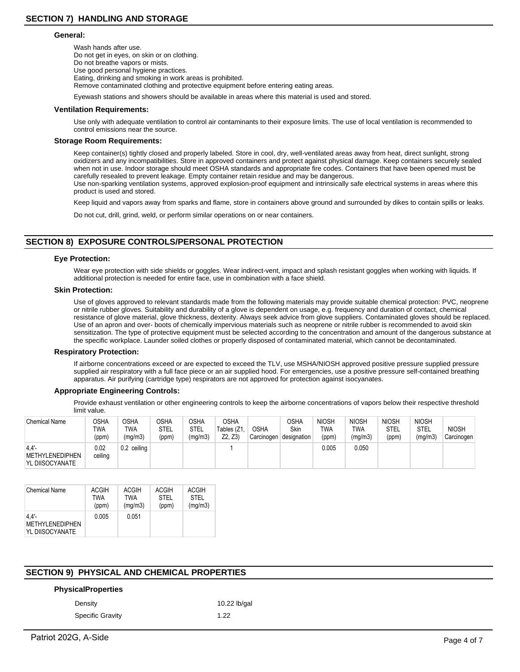### **General:**

Wash hands after use. Do not get in eyes, on skin or on clothing. Do not breathe vapors or mists. Use good personal hygiene practices. Eating, drinking and smoking in work areas is prohibited. Remove contaminated clothing and protective equipment before entering eating areas.

Eyewash stations and showers should be available in areas where this material is used and stored.

### **Ventilation Requirements:**

Use only with adequate ventilation to control air contaminants to their exposure limits. The use of local ventilation is recommended to control emissions near the source.

### **Storage Room Requirements:**

Keep container(s) tightly closed and properly labeled. Store in cool, dry, well-ventilated areas away from heat, direct sunlight, strong oxidizers and any incompatibilities. Store in approved containers and protect against physical damage. Keep containers securely sealed when not in use. Indoor storage should meet OSHA standards and appropriate fire codes. Containers that have been opened must be carefully resealed to prevent leakage. Empty container retain residue and may be dangerous. Use non-sparking ventilation systems, approved explosion-proof equipment and intrinsically safe electrical systems in areas where this product is used and stored.

Keep liquid and vapors away from sparks and flame, store in containers above ground and surrounded by dikes to contain spills or leaks.

Do not cut, drill, grind, weld, or perform similar operations on or near containers.

# **SECTION 8) EXPOSURE CONTROLS/PERSONAL PROTECTION**

### **Eye Protection:**

Wear eye protection with side shields or goggles. Wear indirect-vent, impact and splash resistant goggles when working with liquids. If additional protection is needed for entire face, use in combination with a face shield.

### **Skin Protection:**

Use of gloves approved to relevant standards made from the following materials may provide suitable chemical protection: PVC, neoprene or nitrile rubber gloves. Suitability and durability of a glove is dependent on usage, e.g. frequency and duration of contact, chemical resistance of glove material, glove thickness, dexterity. Always seek advice from glove suppliers. Contaminated gloves should be replaced. Use of an apron and over- boots of chemically impervious materials such as neoprene or nitrile rubber is recommended to avoid skin sensitization. The type of protective equipment must be selected according to the concentration and amount of the dangerous substance at the specific workplace. Launder soiled clothes or properly disposed of contaminated material, which cannot be decontaminated.

### **Respiratory Protection:**

If airborne concentrations exceed or are expected to exceed the TLV, use MSHA/NIOSH approved positive pressure supplied pressure supplied air respiratory with a full face piece or an air supplied hood. For emergencies, use a positive pressure self-contained breathing apparatus. Air purifying (cartridge type) respirators are not approved for protection against isocyanates.

### **Appropriate Engineering Controls:**

Provide exhaust ventilation or other engineering controls to keep the airborne concentrations of vapors below their respective threshold limit value.

| <b>Chemical Name</b>                       | OSHA<br>TWA<br>(ppm) | <b>OSHA</b><br>TWA<br>(mq/m3) | <b>OSHA</b><br>STEL<br>(ppm) | OSHA<br>STEL<br>(mg/m3) | <b>OSHA</b><br>Tables (Z1,<br>Z2. Z3 | <b>OSHA</b><br>Carcinogen | OSHA<br>Skin<br>designation | <b>NIOSH</b><br>TWA<br>(ppm) | <b>NIOSH</b><br>TWA<br>(mg/m3) | <b>NIOSH</b><br>STEL<br>(ppm) | <b>NIOSH</b><br><b>STEL</b><br>(ma/m3) | <b>NIOSH</b><br>Carcinogen |
|--------------------------------------------|----------------------|-------------------------------|------------------------------|-------------------------|--------------------------------------|---------------------------|-----------------------------|------------------------------|--------------------------------|-------------------------------|----------------------------------------|----------------------------|
| 4.4'<br>METHYLENEDIPHEN<br>YL DIISOCYANATE | 0.02<br>ceiling      | 0.2 ceiling                   |                              |                         |                                      |                           |                             | 0.005                        | 0.050                          |                               |                                        |                            |

| <b>Chemical Name</b>                                  | <b>ACGIH</b> | ACGIH   | <b>ACGIH</b> | <b>ACGIH</b> |
|-------------------------------------------------------|--------------|---------|--------------|--------------|
|                                                       | <b>TWA</b>   | TWA     | STFI         | STFI         |
|                                                       | (ppm)        | (mg/m3) | (ppm)        | (mg/m3)      |
| $4.4'$ -<br><b>METHYLENEDIPHEN</b><br>YL DIISOCYANATE | 0.005        | 0.051   |              |              |

# **SECTION 9) PHYSICAL AND CHEMICAL PROPERTIES**

### **PhysicalProperties**

Specific Gravity 1.22

Density 10.22 lb/gal

Patriot 202G, A-Side Page 4 of 7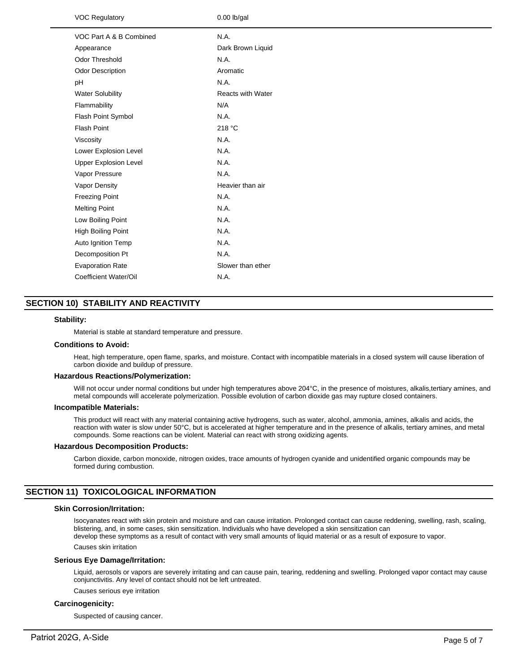| <b>VOC Regulatory</b>        | $0.00$ lb/gal            |
|------------------------------|--------------------------|
| VOC Part A & B Combined      | N.A.                     |
| Appearance                   | Dark Brown Liquid        |
| Odor Threshold               | N.A.                     |
| <b>Odor Description</b>      | Aromatic                 |
| рH                           | N.A.                     |
| <b>Water Solubility</b>      | <b>Reacts with Water</b> |
| Flammability                 | N/A                      |
| Flash Point Symbol           | N.A.                     |
| <b>Flash Point</b>           | 218 °C                   |
| Viscosity                    | N.A.                     |
| Lower Explosion Level        | N.A.                     |
| <b>Upper Explosion Level</b> | N.A.                     |
| Vapor Pressure               | N.A.                     |
| Vapor Density                | Heavier than air         |
| <b>Freezing Point</b>        | N.A.                     |
| <b>Melting Point</b>         | N.A.                     |
| Low Boiling Point            | N.A.                     |
| High Boiling Point           | N.A.                     |
| Auto Ignition Temp           | N.A.                     |
| Decomposition Pt             | N.A.                     |
| <b>Evaporation Rate</b>      | Slower than ether        |
| Coefficient Water/Oil        | N.A.                     |
|                              |                          |

# **SECTION 10) STABILITY AND REACTIVITY**

### **Stability:**

Material is stable at standard temperature and pressure.

### **Conditions to Avoid:**

Heat, high temperature, open flame, sparks, and moisture. Contact with incompatible materials in a closed system will cause liberation of carbon dioxide and buildup of pressure.

### **Hazardous Reactions/Polymerization:**

Will not occur under normal conditions but under high temperatures above 204°C, in the presence of moistures, alkalis,tertiary amines, and metal compounds will accelerate polymerization. Possible evolution of carbon dioxide gas may rupture closed containers.

#### **Incompatible Materials:**

This product will react with any material containing active hydrogens, such as water, alcohol, ammonia, amines, alkalis and acids, the reaction with water is slow under 50°C, but is accelerated at higher temperature and in the presence of alkalis, tertiary amines, and metal compounds. Some reactions can be violent. Material can react with strong oxidizing agents.

## **Hazardous Decomposition Products:**

Carbon dioxide, carbon monoxide, nitrogen oxides, trace amounts of hydrogen cyanide and unidentified organic compounds may be formed during combustion.

# **SECTION 11) TOXICOLOGICAL INFORMATION**

### **Skin Corrosion/Irritation:**

Isocyanates react with skin protein and moisture and can cause irritation. Prolonged contact can cause reddening, swelling, rash, scaling, blistering, and, in some cases, skin sensitization. Individuals who have developed a skin sensitization can develop these symptoms as a result of contact with very small amounts of liquid material or as a result of exposure to vapor.

Causes skin irritation

### **Serious Eye Damage/Irritation:**

Liquid, aerosols or vapors are severely irritating and can cause pain, tearing, reddening and swelling. Prolonged vapor contact may cause conjunctivitis. Any level of contact should not be left untreated.

Causes serious eye irritation

### **Carcinogenicity:**

Suspected of causing cancer.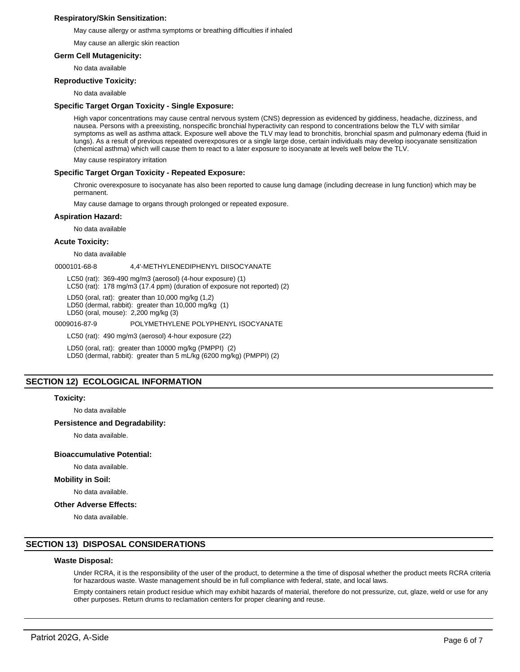### **Respiratory/Skin Sensitization:**

May cause allergy or asthma symptoms or breathing difficulties if inhaled

May cause an allergic skin reaction

### **Germ Cell Mutagenicity:**

No data available

### **Reproductive Toxicity:**

No data available

### **Specific Target Organ Toxicity - Single Exposure:**

High vapor concentrations may cause central nervous system (CNS) depression as evidenced by giddiness, headache, dizziness, and nausea. Persons with a preexisting, nonspecific bronchial hyperactivity can respond to concentrations below the TLV with similar symptoms as well as asthma attack. Exposure well above the TLV may lead to bronchitis, bronchial spasm and pulmonary edema (fluid in lungs). As a result of previous repeated overexposures or a single large dose, certain individuals may develop isocyanate sensitization (chemical asthma) which will cause them to react to a later exposure to isocyanate at levels well below the TLV.

May cause respiratory irritation

### **Specific Target Organ Toxicity - Repeated Exposure:**

Chronic overexposure to isocyanate has also been reported to cause lung damage (including decrease in lung function) which may be permanent.

May cause damage to organs through prolonged or repeated exposure.

### **Aspiration Hazard:**

No data available

### **Acute Toxicity:**

No data available

0000101-68-8 4,4'-METHYLENEDIPHENYL DIISOCYANATE

LC50 (rat): 369-490 mg/m3 (aerosol) (4-hour exposure) (1)

LC50 (rat): 178 mg/m3 (17.4 ppm) (duration of exposure not reported) (2)

LD50 (oral, rat): greater than 10,000 mg/kg (1,2)

LD50 (dermal, rabbit): greater than 10,000 mg/kg (1)

LD50 (oral, mouse): 2,200 mg/kg (3)

### 0009016-87-9 POLYMETHYLENE POLYPHENYL ISOCYANATE

LC50 (rat): 490 mg/m3 (aerosol) 4-hour exposure (22)

LD50 (oral, rat): greater than 10000 mg/kg (PMPPI) (2)

LD50 (dermal, rabbit): greater than 5 mL/kg (6200 mg/kg) (PMPPI) (2)

# **SECTION 12) ECOLOGICAL INFORMATION**

### **Toxicity:**

No data available

### **Persistence and Degradability:**

No data available.

### **Bioaccumulative Potential:**

No data available.

### **Mobility in Soil:**

No data available.

### **Other Adverse Effects:**

No data available.

### **SECTION 13) DISPOSAL CONSIDERATIONS**

### **Waste Disposal:**

Under RCRA, it is the responsibility of the user of the product, to determine a the time of disposal whether the product meets RCRA criteria for hazardous waste. Waste management should be in full compliance with federal, state, and local laws.

Empty containers retain product residue which may exhibit hazards of material, therefore do not pressurize, cut, glaze, weld or use for any other purposes. Return drums to reclamation centers for proper cleaning and reuse.